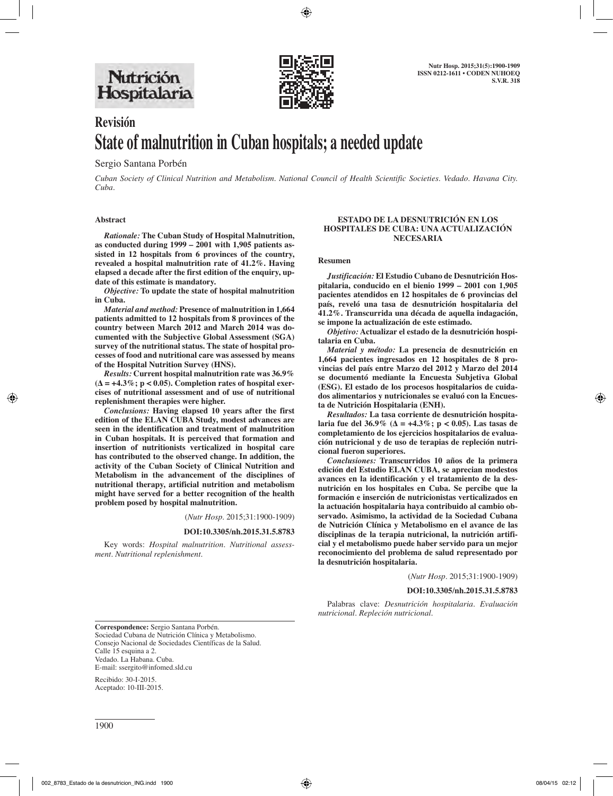

# **Revisión State of malnutrition in Cuban hospitals; a needed update**

## Sergio Santana Porbén

*Cuban Society of Clinical Nutrition and Metabolism. National Council of Health Scientific Societies. Vedado. Havana City. Cuba.* 

## **Abstract**

*Rationale:* **The Cuban Study of Hospital Malnutrition, as conducted during 1999 – 2001 with 1,905 patients assisted in 12 hospitals from 6 provinces of the country, revealed a hospital malnutrition rate of 41.2%. Having elapsed a decade after the first edition of the enquiry, update of this estimate is mandatory.** 

*Objective:* **To update the state of hospital malnutrition in Cuba.** 

*Material and method:* **Presence of malnutrition in 1,664 patients admitted to 12 hospitals from 8 provinces of the country between March 2012 and March 2014 was documented with the Subjective Global Assessment (SGA) survey of the nutritional status. The state of hospital processes of food and nutritional care was assessed by means of the Hospital Nutrition Survey (HNS).** 

*Results:* **Current hospital malnutrition rate was 36.9% (∆ = +4.3%; p < 0.05). Completion rates of hospital exercises of nutritional assessment and of use of nutritional replenishment therapies were higher.** 

*Conclusions:* **Having elapsed 10 years after the first edition of the ELAN CUBA Study, modest advances are seen in the identification and treatment of malnutrition in Cuban hospitals. It is perceived that formation and insertion of nutritionists verticalized in hospital care has contributed to the observed change. In addition, the activity of the Cuban Society of Clinical Nutrition and Metabolism in the advancement of the disciplines of nutritional therapy, artificial nutrition and metabolism might have served for a better recognition of the health problem posed by hospital malnutrition.**

(*Nutr Hosp.* 2015;31:1900-1909)

### **DOI:10.3305/nh.2015.31.5.8783**

Key words: *Hospital malnutrition. Nutritional assessment. Nutritional replenishment.*

## **ESTADO DE LA DESNUTRICIÓN EN LOS HOSPITALES DE CUBA: UNA ACTUALIZACIÓN NECESARIA**

#### **Resumen**

*Justificación:* **El Estudio Cubano de Desnutrición Hospitalaria, conducido en el bienio 1999 – 2001 con 1,905 pacientes atendidos en 12 hospitales de 6 provincias del país, reveló una tasa de desnutrición hospitalaria del 41.2%. Transcurrida una década de aquella indagación, se impone la actualización de este estimado.** 

*Objetivo:* **Actualizar el estado de la desnutrición hospitalaria en Cuba.** 

*Material y método:* **La presencia de desnutrición en 1,664 pacientes ingresados en 12 hospitales de 8 provincias del país entre Marzo del 2012 y Marzo del 2014 se documentó mediante la Encuesta Subjetiva Global (ESG). El estado de los procesos hospitalarios de cuidados alimentarios y nutricionales se evaluó con la Encuesta de Nutrición Hospitalaria (ENH).** 

*Resultados:* **La tasa corriente de desnutrición hospitalaria fue del 36.9% (∆ = +4.3%; p < 0.05). Las tasas de completamiento de los ejercicios hospitalarios de evaluación nutricional y de uso de terapias de repleción nutricional fueron superiores.** 

*Conclusiones:* **Transcurridos 10 años de la primera edición del Estudio ELAN CUBA, se aprecian modestos avances en la identificación y el tratamiento de la desnutrición en los hospitales en Cuba. Se percibe que la formación e inserción de nutricionistas verticalizados en la actuación hospitalaria haya contribuido al cambio observado. Asimismo, la actividad de la Sociedad Cubana de Nutrición Clínica y Metabolismo en el avance de las disciplinas de la terapia nutricional, la nutrición artificial y el metabolismo puede haber servido para un mejor reconocimiento del problema de salud representado por la desnutrición hospitalaria.**

(*Nutr Hosp.* 2015;31:1900-1909)

### **DOI:10.3305/nh.2015.31.5.8783**

Palabras clave: *Desnutrición hospitalaria. Evaluación nutricional. Repleción nutricional.*

**Correspondence:** Sergio Santana Porbén. Sociedad Cubana de Nutrición Clínica y Metabolismo. Consejo Nacional de Sociedades Científicas de la Salud. Calle 15 esquina a 2. Vedado. La Habana. Cuba. E-mail: ssergito@infomed.sld.cu

Recibido: 30-I-2015. Aceptado: 10-III-2015.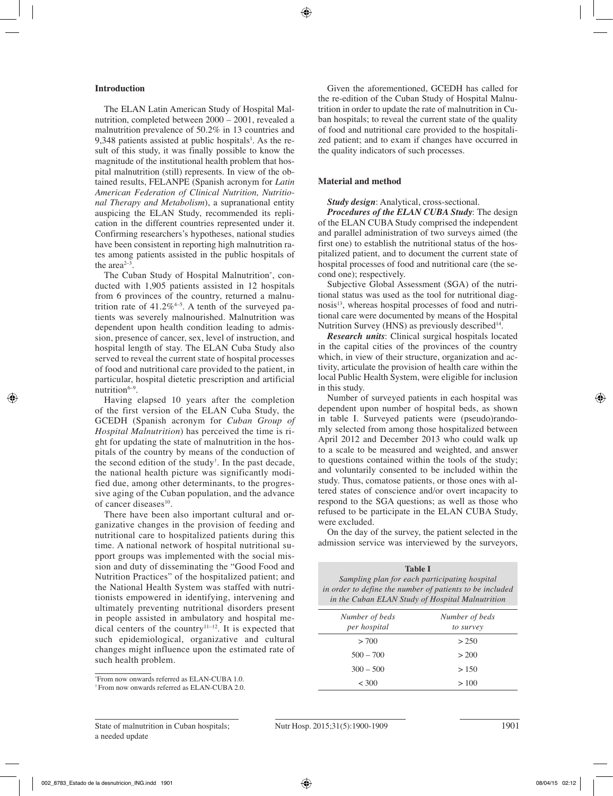## **Introduction**

The ELAN Latin American Study of Hospital Malnutrition, completed between 2000 – 2001, revealed a malnutrition prevalence of 50.2% in 13 countries and 9,348 patients assisted at public hospitals<sup>1</sup>. As the result of this study, it was finally possible to know the magnitude of the institutional health problem that hospital malnutrition (still) represents. In view of the obtained results, FELANPE (Spanish acronym for *Latin American Federation of Clinical Nutrition, Nutritional Therapy and Metabolism*), a supranational entity auspicing the ELAN Study, recommended its replication in the different countries represented under it. Confirming researchers's hypotheses, national studies have been consistent in reporting high malnutrition rates among patients assisted in the public hospitals of the area $2-3$ .

The Cuban Study of Hospital Malnutrition\* , conducted with 1,905 patients assisted in 12 hospitals from 6 provinces of the country, returned a malnutrition rate of  $41.2\%$ <sup>4-5</sup>. A tenth of the surveyed patients was severely malnourished. Malnutrition was dependent upon health condition leading to admission, presence of cancer, sex, level of instruction, and hospital length of stay. The ELAN Cuba Study also served to reveal the current state of hospital processes of food and nutritional care provided to the patient, in particular, hospital dietetic prescription and artificial nutrition $6-9$ .

Having elapsed 10 years after the completion of the first version of the ELAN Cuba Study, the GCEDH (Spanish acronym for *Cuban Group of Hospital Malnutrition*) has perceived the time is right for updating the state of malnutrition in the hospitals of the country by means of the conduction of the second edition of the study† . In the past decade, the national health picture was significantly modified due, among other determinants, to the progressive aging of the Cuban population, and the advance of cancer diseases<sup>10</sup>.

There have been also important cultural and organizative changes in the provision of feeding and nutritional care to hospitalized patients during this time. A national network of hospital nutritional support groups was implemented with the social mission and duty of disseminating the "Good Food and Nutrition Practices" of the hospitalized patient; and the National Health System was staffed with nutritionists empowered in identifying, intervening and ultimately preventing nutritional disorders present in people assisted in ambulatory and hospital medical centers of the country<sup>11–12</sup>. It is expected that such epidemiological, organizative and cultural changes might influence upon the estimated rate of such health problem.

\* From now onwards referred as ELAN-CUBA 1.0.

Given the aforementioned, GCEDH has called for the re-edition of the Cuban Study of Hospital Malnutrition in order to update the rate of malnutrition in Cuban hospitals; to reveal the current state of the quality of food and nutritional care provided to the hospitalized patient; and to exam if changes have occurred in the quality indicators of such processes.

## **Material and method**

*Study design*: Analytical, cross-sectional.

*Procedures of the ELAN CUBA Study*: The design of the ELAN CUBA Study comprised the independent and parallel administration of two surveys aimed (the first one) to establish the nutritional status of the hospitalized patient, and to document the current state of hospital processes of food and nutritional care (the second one); respectively.

Subjective Global Assessment (SGA) of the nutritional status was used as the tool for nutritional diagnosis<sup>13</sup>, whereas hospital processes of food and nutritional care were documented by means of the Hospital Nutrition Survey (HNS) as previously described<sup>14</sup>.

*Research units*: Clinical surgical hospitals located in the capital cities of the provinces of the country which, in view of their structure, organization and activity, articulate the provision of health care within the local Public Health System, were eligible for inclusion in this study.

Number of surveyed patients in each hospital was dependent upon number of hospital beds, as shown in table I. Surveyed patients were (pseudo)randomly selected from among those hospitalized between April 2012 and December 2013 who could walk up to a scale to be measured and weighted, and answer to questions contained within the tools of the study; and voluntarily consented to be included within the study. Thus, comatose patients, or those ones with altered states of conscience and/or overt incapacity to respond to the SGA questions; as well as those who refused to be participate in the ELAN CUBA Study, were excluded.

On the day of the survey, the patient selected in the admission service was interviewed by the surveyors,

**Table I** *Sampling plan for each participating hospital in order to define the number of patients to be included in the Cuban ELAN Study of Hospital Malnutrition*

| Number of beds<br>per hospital | Number of beds<br>to survey |
|--------------------------------|-----------------------------|
| > 700                          | > 250                       |
| $500 - 700$                    | > 200                       |
| $300 - 500$                    | > 150                       |
| < 300                          | >100                        |

<sup>†</sup> From now onwards referred as ELAN-CUBA 2.0.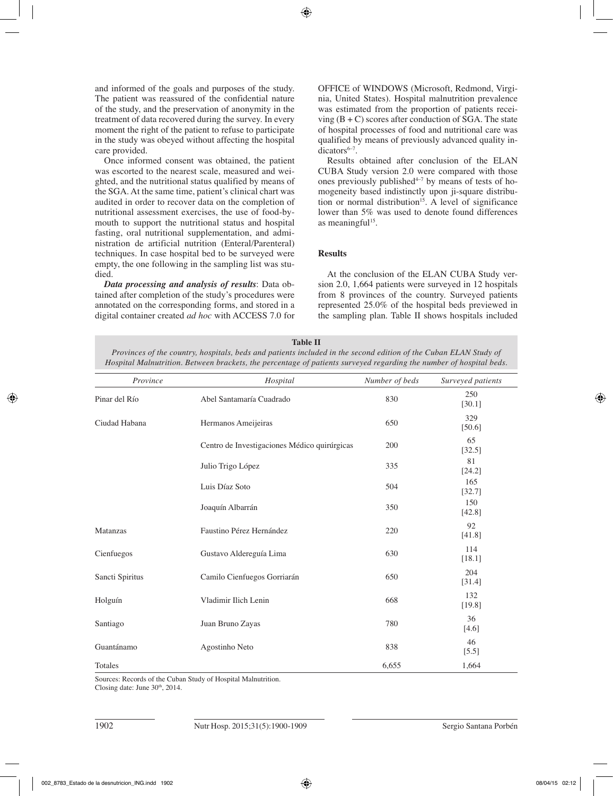and informed of the goals and purposes of the study. The patient was reassured of the confidential nature of the study, and the preservation of anonymity in the treatment of data recovered during the survey. In every moment the right of the patient to refuse to participate in the study was obeyed without affecting the hospital care provided.

Once informed consent was obtained, the patient was escorted to the nearest scale, measured and weighted, and the nutritional status qualified by means of the SGA. At the same time, patient's clinical chart was audited in order to recover data on the completion of nutritional assessment exercises, the use of food-bymouth to support the nutritional status and hospital fasting, oral nutritional supplementation, and administration de artificial nutrition (Enteral/Parenteral) techniques. In case hospital bed to be surveyed were empty, the one following in the sampling list was studied.

*Data processing and analysis of results*: Data obtained after completion of the study's procedures were annotated on the corresponding forms, and stored in a digital container created *ad hoc* with ACCESS 7.0 for OFFICE of WINDOWS (Microsoft, Redmond, Virginia, United States). Hospital malnutrition prevalence was estimated from the proportion of patients receiving  $(B + C)$  scores after conduction of SGA. The state of hospital processes of food and nutritional care was qualified by means of previously advanced quality indicators<sup>6-7</sup>.

Results obtained after conclusion of the ELAN CUBA Study version 2.0 were compared with those ones previously published $4-7$  by means of tests of homogeneity based indistinctly upon ji-square distribution or normal distribution<sup>15</sup>. A level of significance lower than 5% was used to denote found differences as meaningful $15$ .

# **Results**

At the conclusion of the ELAN CUBA Study version 2.0, 1,664 patients were surveyed in 12 hospitals from 8 provinces of the country. Surveyed patients represented 25.0% of the hospital beds previewed in the sampling plan. Table II shows hospitals included

## **Table II**

*Provinces of the country, hospitals, beds and patients included in the second edition of the Cuban ELAN Study of Hospital Malnutrition. Between brackets, the percentage of patients surveyed regarding the number of hospital beds.*

| Province        | Hospital                                     | Number of beds | Surveyed patients |
|-----------------|----------------------------------------------|----------------|-------------------|
| Pinar del Río   | Abel Santamaría Cuadrado                     | 830            | 250<br>[30.1]     |
| Ciudad Habana   | Hermanos Ameijeiras                          | 650            | 329<br>[50.6]     |
|                 | Centro de Investigaciones Médico quirúrgicas | 200            | 65<br>[32.5]      |
|                 | Julio Trigo López                            | 335            | 81<br>[24.2]      |
|                 | Luis Díaz Soto                               | 504            | 165<br>[32.7]     |
|                 | Joaquín Albarrán                             | 350            | 150<br>[42.8]     |
| Matanzas        | Faustino Pérez Hernández                     | 220            | 92<br>[41.8]      |
| Cienfuegos      | Gustavo Aldereguía Lima                      | 630            | 114<br>[18.1]     |
| Sancti Spiritus | Camilo Cienfuegos Gorriarán                  | 650            | 204<br>[31.4]     |
| Holguín         | Vladimir Ilich Lenin                         | 668            | 132<br>[19.8]     |
| Santiago        | Juan Bruno Zayas                             | 780            | 36<br>[4.6]       |
| Guantánamo      | Agostinho Neto                               | 838            | 46<br>$[5.5]$     |
| Totales         |                                              | 6,655          | 1,664             |

Sources: Records of the Cuban Study of Hospital Malnutrition. Closing date: June  $30<sup>th</sup>$ , 2014.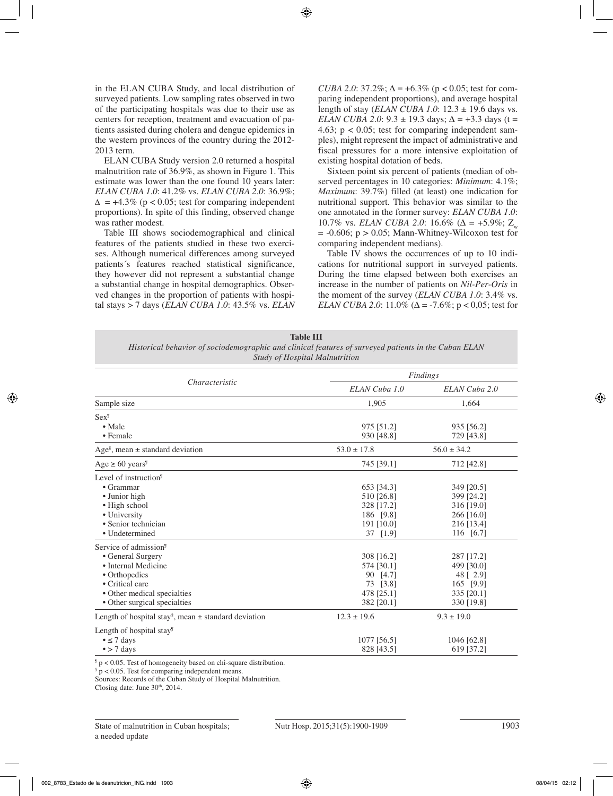in the ELAN CUBA Study, and local distribution of surveyed patients. Low sampling rates observed in two of the participating hospitals was due to their use as centers for reception, treatment and evacuation of patients assisted during cholera and dengue epidemics in the western provinces of the country during the 2012- 2013 term.

ELAN CUBA Study version 2.0 returned a hospital malnutrition rate of 36.9%, as shown in Figure 1. This estimate was lower than the one found 10 years later: *ELAN CUBA 1.0*: 41.2% vs. *ELAN CUBA 2.0*: 36.9%;  $\Delta$  = +4.3% (p < 0.05; test for comparing independent proportions). In spite of this finding, observed change was rather modest.

Table III shows sociodemographical and clinical features of the patients studied in these two exercises. Although numerical differences among surveyed patients´s features reached statistical significance, they however did not represent a substantial change a substantial change in hospital demographics. Observed changes in the proportion of patients with hospital stays > 7 days (*ELAN CUBA 1.0*: 43.5% vs. *ELAN*  *CUBA 2.0*:  $37.2\%$ ;  $\Delta = +6.3\%$  (p < 0.05; test for comparing independent proportions), and average hospital length of stay (*ELAN CUBA 1.0*: 12.3 ± 19.6 days vs. *ELAN CUBA 2.0*:  $9.3 \pm 19.3$  days;  $\Delta = +3.3$  days (t = 4.63;  $p < 0.05$ ; test for comparing independent samples), might represent the impact of administrative and fiscal pressures for a more intensive exploitation of existing hospital dotation of beds.

Sixteen point six percent of patients (median of observed percentages in 10 categories: *Minimum*: 4.1%; *Maximum*: 39.7%) filled (at least) one indication for nutritional support. This behavior was similar to the one annotated in the former survey: *ELAN CUBA 1.0*: 10.7% vs. *ELAN CUBA 2.0*: 16.6% ( $\Delta$  = +5.9%; Z  $= -0.606$ ;  $p > 0.05$ ; Mann-Whitney-Wilcoxon test for comparing independent medians).

Table IV shows the occurrences of up to 10 indications for nutritional support in surveyed patients. During the time elapsed between both exercises an increase in the number of patients on *Nil-Per-Oris* in the moment of the survey (*ELAN CUBA 1.0*: 3.4% vs. *ELAN CUBA 2.0*: 11.0% ( $\Delta$  = -7.6%; p < 0,05; test for

#### **Table III**

*Historical behavior of sociodemographic and clinical features of surveyed patients in the Cuban ELAN Study of Hospital Malnutrition*

|                                                                      |                 | Findings        |  |  |
|----------------------------------------------------------------------|-----------------|-----------------|--|--|
| Characteristic                                                       | ELAN Cuba 1.0   | ELAN Cuba 2.0   |  |  |
| Sample size                                                          | 1,905           | 1.664           |  |  |
| Sex <sup>9</sup>                                                     |                 |                 |  |  |
| $\bullet$ Male                                                       | 975 [51.2]      | 935 [56.2]      |  |  |
| $\bullet$ Female                                                     | 930 [48.8]      | 729 [43.8]      |  |  |
| Age <sup>§</sup> , mean $\pm$ standard deviation                     | $53.0 \pm 17.8$ | $56.0 \pm 34.2$ |  |  |
| $Age \ge 60 \text{ years}^9$                                         | 745 [39.1]      | 712 [42.8]      |  |  |
| Level of instruction <sup>9</sup>                                    |                 |                 |  |  |
| $\bullet$ Grammar                                                    | 653 [34.3]      | 349 [20.5]      |  |  |
| • Junior high                                                        | 510 [26.8]      | 399 [24.2]      |  |  |
| · High school                                                        | 328 [17.2]      | 316 [19.0]      |  |  |
| • University                                                         | 186 [9.8]       | 266 [16.0]      |  |  |
| • Senior technician                                                  | 191 [10.0]      | 216 [13.4]      |  |  |
| • Undetermined                                                       | 37 [1.9]        | 116 [6.7]       |  |  |
| Service of admission <sup>9</sup>                                    |                 |                 |  |  |
| • General Surgery                                                    | 308 [16.2]      | 287 [17.2]      |  |  |
| • Internal Medicine                                                  | 574 [30.1]      | 499 [30.0]      |  |  |
| • Orthopedics                                                        | 90 [4.7]        | 48 [ 2.9]       |  |  |
| • Critical care                                                      | 73 [3.8]        | 165 [9.9]       |  |  |
| • Other medical specialties                                          | 478 [25.1]      | 335 [20.1]      |  |  |
| • Other surgical specialties                                         | 382 [20.1]      | 330 [19.8]      |  |  |
| Length of hospital stay <sup>§</sup> , mean $\pm$ standard deviation | $12.3 \pm 19.6$ | $9.3 \pm 19.0$  |  |  |
| Length of hospital stay <sup>9</sup>                                 |                 |                 |  |  |
| $\bullet \leq 7$ days                                                | 1077 [56.5]     | 1046 [62.8]     |  |  |
| $\bullet$ > 7 days                                                   | 828 [43.5]      | 619 [37.2]      |  |  |

¶ p < 0.05. Test of homogeneity based on chi-square distribution.

§ p < 0.05. Test for comparing independent means.

Sources: Records of the Cuban Study of Hospital Malnutrition.

Closing date: June 30<sup>th</sup>, 2014.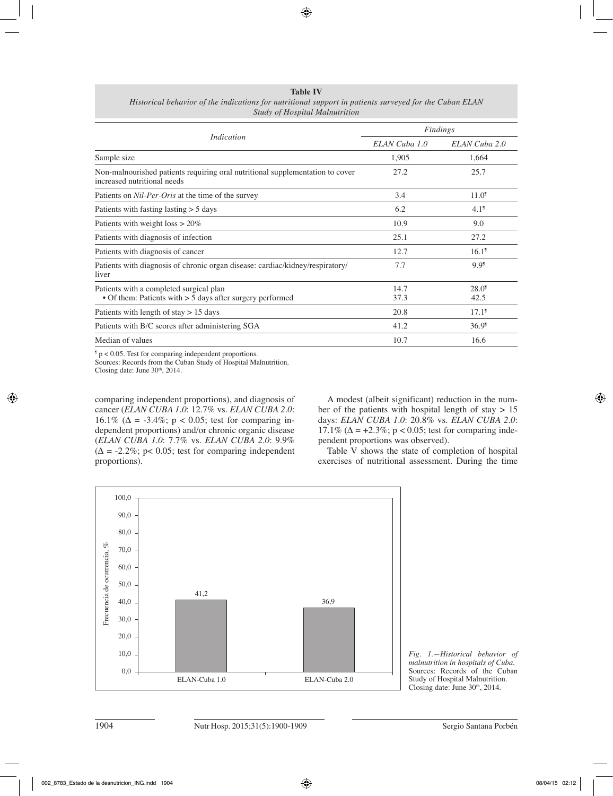**Table IV** *Historical behavior of the indications for nutritional support in patients surveyed for the Cuban ELAN Study of Hospital Malnutrition*

|                                                                                                              | Findings      |                             |  |
|--------------------------------------------------------------------------------------------------------------|---------------|-----------------------------|--|
| Indication                                                                                                   | ELAN Cuba 1.0 | ELAN Cuba 2.0               |  |
| Sample size                                                                                                  | 1,905         | 1,664                       |  |
| Non-malnourished patients requiring oral nutritional supplementation to cover<br>increased nutritional needs | 27.2          | 25.7                        |  |
| Patients on <i>Nil-Per-Oris</i> at the time of the survey                                                    | 3.4           | 11.0 <sup>9</sup>           |  |
| Patients with fasting $\text{lasting} > 5 \text{ days}$                                                      | 6.2           | 4.1 <sup>9</sup>            |  |
| Patients with weight $loss > 20\%$                                                                           | 10.9          | 9.0                         |  |
| Patients with diagnosis of infection                                                                         | 25.1          | 27.2                        |  |
| Patients with diagnosis of cancer                                                                            | 12.7          | 16.1 <sup>9</sup>           |  |
| Patients with diagnosis of chronic organ disease: cardiac/kidney/respiratory/<br>liver                       | 7.7           | 9.9 <sup>1</sup>            |  |
| Patients with a completed surgical plan<br>• Of them: Patients with $> 5$ days after surgery performed       | 14.7<br>37.3  | $28.0$ <sup>9</sup><br>42.5 |  |
| Patients with length of stay $> 15$ days                                                                     | 20.8          | $17.1^{\circ}$              |  |
| Patients with B/C scores after administering SGA                                                             | 41.2          | 36.9 <sup>1</sup>           |  |
| Median of values                                                                                             | 10.7          | 16.6                        |  |

¶ p < 0.05. Test for comparing independent proportions.

Sources: Records from the Cuban Study of Hospital Malnutrition.

Closing date: June 30<sup>th</sup>, 2014.

comparing independent proportions), and diagnosis of cancer (*ELAN CUBA 1.0*: 12.7% vs. *ELAN CUBA 2.0*: 16.1% (Δ = -3.4%; p < 0.05; test for comparing independent proportions) and/or chronic organic disease (*ELAN CUBA 1.0*: 7.7% vs. *ELAN CUBA 2.0*: 9.9%  $(\Delta = -2.2\%; p < 0.05; \text{ test for comparing independent})$ proportions).

A modest (albeit significant) reduction in the number of the patients with hospital length of stay  $> 15$ days: *ELAN CUBA 1.0*: 20.8% vs. *ELAN CUBA 2.0*: 17.1% (Δ = +2.3%; p < 0.05; test for comparing independent proportions was observed).

Table V shows the state of completion of hospital exercises of nutritional assessment. During the time



*Fig. 1.—Historical behavior of malnutrition in hospitals of Cuba.* Sources: Records of the Cuban Study of Hospital Malnutrition. Closing date: June 30th, 2014.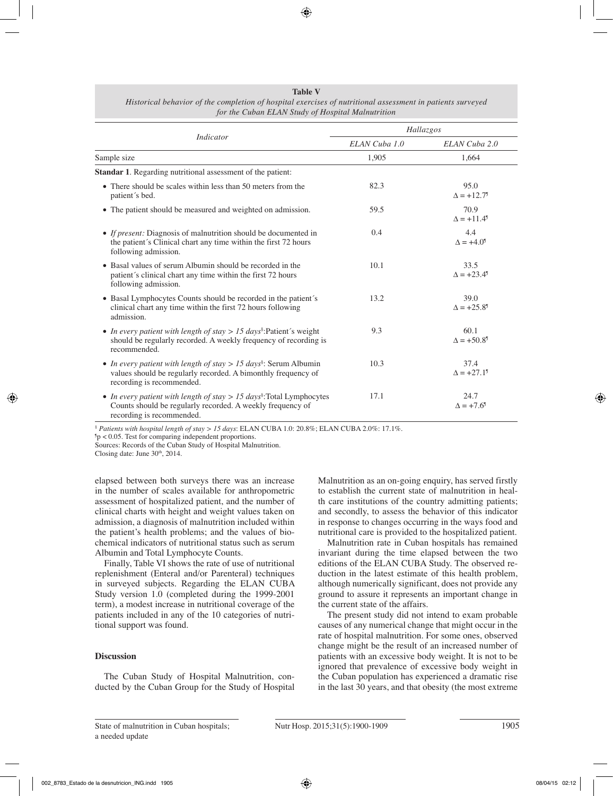#### **Table V**

| Historical behavior of the completion of hospital exercises of nutritional assessment in patients surveyed |  |
|------------------------------------------------------------------------------------------------------------|--|
| for the Cuban ELAN Study of Hospital Malnutrition                                                          |  |

|                                                                                                                                                                                |               | Hallazgos                                                |
|--------------------------------------------------------------------------------------------------------------------------------------------------------------------------------|---------------|----------------------------------------------------------|
| Indicator                                                                                                                                                                      | ELAN Cuba 1.0 | ELAN Cuba 2.0                                            |
| Sample size                                                                                                                                                                    | 1,905         | 1,664                                                    |
| <b>Standar 1.</b> Regarding nutritional assessment of the patient:                                                                                                             |               |                                                          |
| • There should be scales within less than 50 meters from the<br>patient's bed.                                                                                                 | 82.3          | 95.0<br>$\Delta = +12.7$ <sup>9</sup>                    |
| • The patient should be measured and weighted on admission.                                                                                                                    | 59.5          | 70.9<br>$\Delta$ = +11.4 <sup>9</sup>                    |
| • If present: Diagnosis of malnutrition should be documented in<br>the patient's Clinical chart any time within the first 72 hours<br>following admission.                     | 0.4           | 4.4<br>$\Delta = +4.0^{\circ}$                           |
| • Basal values of serum Albumin should be recorded in the<br>patient's clinical chart any time within the first 72 hours<br>following admission.                               | 10.1          | 33.5<br>$\Delta = +23.4^{\circ}$                         |
| • Basal Lymphocytes Counts should be recorded in the patient's<br>clinical chart any time within the first 72 hours following<br>admission.                                    | 13.2          | 39.0<br>$\Delta = +25.8^{\circ}$                         |
| In every patient with length of stay > 15 days <sup>§</sup> :Patient's weight<br>$\bullet$<br>should be regularly recorded. A weekly frequency of recording is<br>recommended. | 9.3           | 60.1<br>$\Delta$ = +50.8 <sup>9</sup>                    |
| • In every patient with length of stay > 15 days <sup>§</sup> : Serum Albumin<br>values should be regularly recorded. A bimonthly frequency of<br>recording is recommended.    | 10.3          | 37.4<br>$\Delta = +27.1^{\circ}$                         |
| • In every patient with length of stay $> 15$ days <sup>§</sup> : Total Lymphocytes<br>Counts should be regularly recorded. A weekly frequency of<br>recording is recommended. | 17.1          | 24.7<br>$\Delta$ = +7.6 <sup><math>\text{I}</math></sup> |

§  *Patients with hospital length of stay > 15 days*: ELAN CUBA 1.0: 20.8%; ELAN CUBA 2.0%: 17.1%.

 $p$  < 0.05. Test for comparing independent proportions. Sources: Records of the Cuban Study of Hospital Malnutrition.

Closing date: June 30<sup>th</sup>, 2014.

elapsed between both surveys there was an increase in the number of scales available for anthropometric assessment of hospitalized patient, and the number of clinical charts with height and weight values taken on admission, a diagnosis of malnutrition included within the patient's health problems; and the values of biochemical indicators of nutritional status such as serum Albumin and Total Lymphocyte Counts.

Finally, Table VI shows the rate of use of nutritional replenishment (Enteral and/or Parenteral) techniques in surveyed subjects. Regarding the ELAN CUBA Study version 1.0 (completed during the 1999-2001 term), a modest increase in nutritional coverage of the patients included in any of the 10 categories of nutritional support was found.

## **Discussion**

The Cuban Study of Hospital Malnutrition, conducted by the Cuban Group for the Study of Hospital Malnutrition as an on-going enquiry, has served firstly to establish the current state of malnutrition in health care institutions of the country admitting patients; and secondly, to assess the behavior of this indicator in response to changes occurring in the ways food and nutritional care is provided to the hospitalized patient.

Malnutrition rate in Cuban hospitals has remained invariant during the time elapsed between the two editions of the ELAN CUBA Study. The observed reduction in the latest estimate of this health problem, although numerically significant, does not provide any ground to assure it represents an important change in the current state of the affairs.

The present study did not intend to exam probable causes of any numerical change that might occur in the rate of hospital malnutrition. For some ones, observed change might be the result of an increased number of patients with an excessive body weight. It is not to be ignored that prevalence of excessive body weight in the Cuban population has experienced a dramatic rise in the last 30 years, and that obesity (the most extreme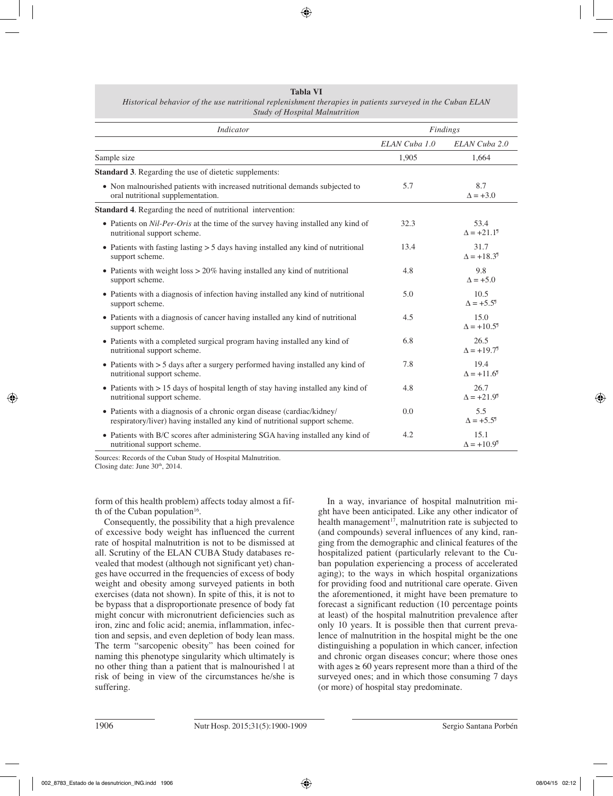**Tabla VI** *Historical behavior of the use nutritional replenishment therapies in patients surveyed in the Cuban ELAN Study of Hospital Malnutrition*

| <b>Indicator</b>                                                                                                                                       | Findings      |                                       |
|--------------------------------------------------------------------------------------------------------------------------------------------------------|---------------|---------------------------------------|
|                                                                                                                                                        | ELAN Cuba 1.0 | ELAN Cuba 2.0                         |
| Sample size                                                                                                                                            | 1,905         | 1,664                                 |
| <b>Standard 3.</b> Regarding the use of dietetic supplements:                                                                                          |               |                                       |
| • Non malnourished patients with increased nutritional demands subjected to<br>oral nutritional supplementation.                                       | 5.7           | 8.7<br>$\Delta$ = +3.0                |
| <b>Standard 4.</b> Regarding the need of nutritional intervention:                                                                                     |               |                                       |
| • Patients on Nil-Per-Oris at the time of the survey having installed any kind of<br>nutritional support scheme.                                       | 32.3          | 53.4<br>$\Delta = +21.1^9$            |
| • Patients with fasting lasting $> 5$ days having installed any kind of nutritional<br>support scheme.                                                 | 13.4          | 31.7<br>$\Delta = +18.3^{\circ}$      |
| • Patients with weight $loss > 20\%$ having installed any kind of nutritional<br>support scheme.                                                       | 4.8           | 9.8<br>$\Delta = +5.0$                |
| • Patients with a diagnosis of infection having installed any kind of nutritional<br>support scheme.                                                   | 5.0           | 10.5<br>$\Delta$ = +5.5 <sup>9</sup>  |
| • Patients with a diagnosis of cancer having installed any kind of nutritional<br>support scheme.                                                      | 4.5           | 15.0<br>$\Lambda = +10.5^{\circ}$     |
| • Patients with a completed surgical program having installed any kind of<br>nutritional support scheme.                                               | 6.8           | 26.5<br>$\Delta = +19.7$ <sup>9</sup> |
| • Patients with > 5 days after a surgery performed having installed any kind of<br>nutritional support scheme.                                         | 7.8           | 19.4<br>$\Lambda = +11.6^{\circ}$     |
| • Patients with $> 15$ days of hospital length of stay having installed any kind of<br>nutritional support scheme.                                     | 4.8           | 26.7<br>$\Delta = +21.9^{\circ}$      |
| • Patients with a diagnosis of a chronic organ disease (cardiac/kidney/<br>respiratory/liver) having installed any kind of nutritional support scheme. | 0.0           | 5.5<br>$\Delta = +5.5^{\circ}$        |
| • Patients with B/C scores after administering SGA having installed any kind of<br>nutritional support scheme.                                         | 4.2           | 15.1<br>$\Delta$ = +10.9 <sup>9</sup> |

Sources: Records of the Cuban Study of Hospital Malnutrition. Closing date: June  $30<sup>th</sup>$ , 2014.

form of this health problem) affects today almost a fifth of the Cuban population $16$ .

Consequently, the possibility that a high prevalence of excessive body weight has influenced the current rate of hospital malnutrition is not to be dismissed at all. Scrutiny of the ELAN CUBA Study databases revealed that modest (although not significant yet) changes have occurred in the frequencies of excess of body weight and obesity among surveyed patients in both exercises (data not shown). In spite of this, it is not to be bypass that a disproportionate presence of body fat might concur with micronutrient deficiencies such as iron, zinc and folic acid; anemia, inflammation, infection and sepsis, and even depletion of body lean mass. The term "sarcopenic obesity" has been coined for naming this phenotype singularity which ultimately is no other thing than a patient that is malnourished at risk of being in view of the circumstances he/she is suffering.

In a way, invariance of hospital malnutrition might have been anticipated. Like any other indicator of health management<sup>17</sup>, malnutrition rate is subjected to (and compounds) several influences of any kind, ranging from the demographic and clinical features of the hospitalized patient (particularly relevant to the Cuban population experiencing a process of accelerated aging); to the ways in which hospital organizations for providing food and nutritional care operate. Given the aforementioned, it might have been premature to forecast a significant reduction (10 percentage points at least) of the hospital malnutrition prevalence after only 10 years. It is possible then that current prevalence of malnutrition in the hospital might be the one distinguishing a population in which cancer, infection and chronic organ diseases concur; where those ones with ages  $\geq 60$  years represent more than a third of the surveyed ones; and in which those consuming 7 days (or more) of hospital stay predominate.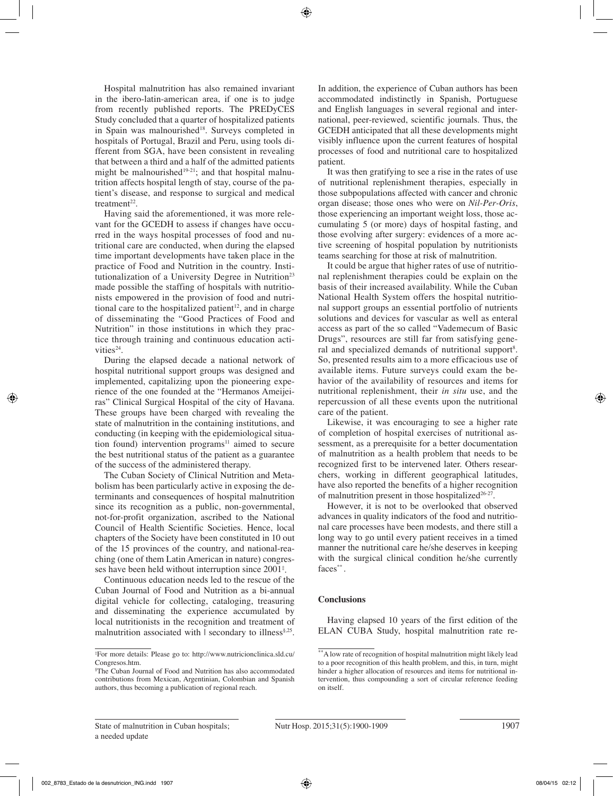Hospital malnutrition has also remained invariant in the ibero-latin-american area, if one is to judge from recently published reports. The PREDyCES Study concluded that a quarter of hospitalized patients in Spain was malnourished<sup>18</sup>. Surveys completed in hospitals of Portugal, Brazil and Peru, using tools different from SGA, have been consistent in revealing that between a third and a half of the admitted patients might be malnourished<sup>19-21</sup>; and that hospital malnutrition affects hospital length of stay, course of the patient's disease, and response to surgical and medical treatment<sup>22</sup>.

Having said the aforementioned, it was more relevant for the GCEDH to assess if changes have occurred in the ways hospital processes of food and nutritional care are conducted, when during the elapsed time important developments have taken place in the practice of Food and Nutrition in the country. Institutionalization of a University Degree in Nutrition<sup>23</sup> made possible the staffing of hospitals with nutritionists empowered in the provision of food and nutritional care to the hospitalized patient<sup>12</sup>, and in charge of disseminating the "Good Practices of Food and Nutrition" in those institutions in which they practice through training and continuous education activities<sup>24</sup>.

During the elapsed decade a national network of hospital nutritional support groups was designed and implemented, capitalizing upon the pioneering experience of the one founded at the "Hermanos Ameijeiras" Clinical Surgical Hospital of the city of Havana. These groups have been charged with revealing the state of malnutrition in the containing institutions, and conducting (in keeping with the epidemiological situation found) intervention programs $11$  aimed to secure the best nutritional status of the patient as a guarantee of the success of the administered therapy.

The Cuban Society of Clinical Nutrition and Metabolism has been particularly active in exposing the determinants and consequences of hospital malnutrition since its recognition as a public, non-governmental, not-for-profit organization, ascribed to the National Council of Health Scientific Societies. Hence, local chapters of the Society have been constituted in 10 out of the 15 provinces of the country, and national-reaching (one of them Latin American in nature) congresses have been held without interruption since 2001‡ .

Continuous education needs led to the rescue of the Cuban Journal of Food and Nutrition as a bi-annual digital vehicle for collecting, cataloging, treasuring and disseminating the experience accumulated by local nutritionists in the recognition and treatment of malnutrition associated with | secondary to illness<sup>§,25</sup>. In addition, the experience of Cuban authors has been accommodated indistinctly in Spanish, Portuguese and English languages in several regional and international, peer-reviewed, scientific journals. Thus, the GCEDH anticipated that all these developments might visibly influence upon the current features of hospital processes of food and nutritional care to hospitalized patient.

It was then gratifying to see a rise in the rates of use of nutritional replenishment therapies, especially in those subpopulations affected with cancer and chronic organ disease; those ones who were on *Nil-Per-Oris*, those experiencing an important weight loss, those accumulating 5 (or more) days of hospital fasting, and those evolving after surgery: evidences of a more active screening of hospital population by nutritionists teams searching for those at risk of malnutrition.

It could be argue that higher rates of use of nutritional replenishment therapies could be explain on the basis of their increased availability. While the Cuban National Health System offers the hospital nutritional support groups an essential portfolio of nutrients solutions and devices for vascular as well as enteral access as part of the so called "Vademecum of Basic Drugs", resources are still far from satisfying general and specialized demands of nutritional support<sup>8</sup>. So, presented results aim to a more efficacious use of available items. Future surveys could exam the behavior of the availability of resources and items for nutritional replenishment, their *in situ* use, and the repercussion of all these events upon the nutritional care of the patient.

Likewise, it was encouraging to see a higher rate of completion of hospital exercises of nutritional assessment, as a prerequisite for a better documentation of malnutrition as a health problem that needs to be recognized first to be intervened later. Others researchers, working in different geographical latitudes, have also reported the benefits of a higher recognition of malnutrition present in those hospitalized<sup>26-27</sup>.

However, it is not to be overlooked that observed advances in quality indicators of the food and nutritional care processes have been modests, and there still a long way to go until every patient receives in a timed manner the nutritional care he/she deserves in keeping with the surgical clinical condition he/she currently faces\*\*.

# **Conclusions**

Having elapsed 10 years of the first edition of the ELAN CUBA Study, hospital malnutrition rate re-

<sup>‡</sup> For more details: Please go to: http://www.nutricionclinica.sld.cu/ Congresos.htm

<sup>§</sup> The Cuban Journal of Food and Nutrition has also accommodated contributions from Mexican, Argentinian, Colombian and Spanish authors, thus becoming a publication of regional reach.

<sup>\*\*</sup>A low rate of recognition of hospital malnutrition might likely lead to a poor recognition of this health problem, and this, in turn, might hinder a higher allocation of resources and items for nutritional intervention, thus compounding a sort of circular reference feeding on itself.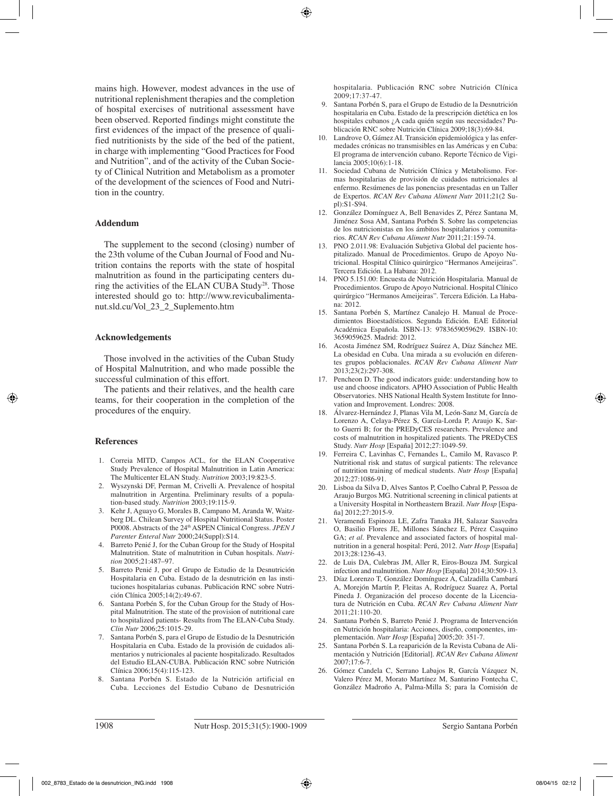mains high. However, modest advances in the use of nutritional replenishment therapies and the completion of hospital exercises of nutritional assessment have been observed. Reported findings might constitute the first evidences of the impact of the presence of qualified nutritionists by the side of the bed of the patient, in charge with implementing "Good Practices for Food and Nutrition", and of the activity of the Cuban Society of Clinical Nutrition and Metabolism as a promoter of the development of the sciences of Food and Nutrition in the country.

## **Addendum**

The supplement to the second (closing) number of the 23th volume of the Cuban Journal of Food and Nutrition contains the reports with the state of hospital malnutrition as found in the participating centers during the activities of the ELAN CUBA Study<sup>28</sup>. Those interested should go to: http://www.revicubalimentanut.sld.cu/Vol\_23\_2\_Suplemento.htm

### **Acknowledgements**

Those involved in the activities of the Cuban Study of Hospital Malnutrition, and who made possible the successful culmination of this effort.

The patients and their relatives, and the health care teams, for their cooperation in the completion of the procedures of the enquiry.

## **References**

- 1. Correia MITD, Campos ACL, for the ELAN Cooperative Study Prevalence of Hospital Malnutrition in Latin America: The Multicenter ELAN Study. *Nutrition* 2003;19:823-5.
- 2. Wyszynski DF, Perman M, Crivelli A. Prevalence of hospital malnutrition in Argentina. Preliminary results of a population-based study. *Nutrition* 2003;19:115-9.
- 3. Kehr J, Aguayo G, Morales B, Campano M, Aranda W, Waitzberg DL. Chilean Survey of Hospital Nutritional Status. Poster P0008. Abstracts of the 24th ASPEN Clinical Congress. *JPEN J Parenter Enteral Nutr* 2000;24(Suppl):S14.
- 4. Barreto Penié J, for the Cuban Group for the Study of Hospital Malnutrition. State of malnutrition in Cuban hospitals. *Nutrition* 2005;21:487–97.
- 5. Barreto Penié J, por el Grupo de Estudio de la Desnutrición Hospitalaria en Cuba. Estado de la desnutrición en las instituciones hospitalarias cubanas. Publicación RNC sobre Nutrición Clínica 2005;14(2):49-67.
- 6. Santana Porbén S, for the Cuban Group for the Study of Hospital Malnutrition. The state of the provision of nutritional care to hospitalized patients- Results from The ELAN-Cuba Study. *Clin Nutr* 2006;25:1015-29.
- 7. Santana Porbén S, para el Grupo de Estudio de la Desnutrición Hospitalaria en Cuba. Estado de la provisión de cuidados alimentarios y nutricionales al paciente hospitalizado. Resultados del Estudio ELAN-CUBA. Publicación RNC sobre Nutrición Clínica 2006;15(4):115-123.
- 8. Santana Porbén S. Estado de la Nutrición artificial en Cuba. Lecciones del Estudio Cubano de Desnutrición

hospitalaria. Publicación RNC sobre Nutrición Clínica 2009;17:37-47.

- 9. Santana Porbén S, para el Grupo de Estudio de la Desnutrición hospitalaria en Cuba. Estado de la prescripción dietética en los hospitales cubanos ¿A cada quién según sus necesidades? Publicación RNC sobre Nutrición Clínica 2009;18(3):69-84.
- 10. Landrove O, Gámez AI. Transición epidemiológica y las enfermedades crónicas no transmisibles en las Américas y en Cuba: El programa de intervención cubano. Reporte Técnico de Vigilancia 2005;10(6):1-18.
- 11. Sociedad Cubana de Nutrición Clínica y Metabolismo. Formas hospitalarias de provisión de cuidados nutricionales al enfermo. Resúmenes de las ponencias presentadas en un Taller de Expertos. *RCAN Rev Cubana Aliment Nutr* 2011;21(2 Supl):S1-S94.
- 12. González Domínguez A, Bell Benavides Z, Pérez Santana M, Jiménez Sosa AM, Santana Porbén S. Sobre las competencias de los nutricionistas en los ámbitos hospitalarios y comunitarios. *RCAN Rev Cubana Aliment Nutr* 2011;21:159-74.
- 13. PNO 2.011.98: Evaluación Subjetiva Global del paciente hospitalizado. Manual de Procedimientos. Grupo de Apoyo Nutricional. Hospital Clínico quirúrgico "Hermanos Ameijeiras". Tercera Edición. La Habana: 2012.
- 14. PNO 5.151.00: Encuesta de Nutrición Hospitalaria. Manual de Procedimientos. Grupo de Apoyo Nutricional. Hospital Clínico quirúrgico "Hermanos Ameijeiras". Tercera Edición. La Habana: 2012.
- 15. Santana Porbén S, Martínez Canalejo H. Manual de Procedimientos Bioestadísticos. Segunda Edición. EAE Editorial Académica Española. ISBN-13: 9783659059629. ISBN-10: 3659059625. Madrid: 2012.
- 16. Acosta Jiménez SM, Rodríguez Suárez A, Díaz Sánchez ME. La obesidad en Cuba. Una mirada a su evolución en diferentes grupos poblacionales. *RCAN Rev Cubana Aliment Nutr* 2013;23(2):297-308.
- 17. Pencheon D. The good indicators guide: understanding how to use and choose indicators. APHO Association of Public Health Observatories. NHS National Health System Institute for Innovation and Improvement. Londres: 2008.
- 18. Álvarez-Hernández J, Planas Vila M, León-Sanz M, García de Lorenzo A, Celaya-Pérez S, García-Lorda P, Araujo K, Sarto Guerri B; for the PREDyCES researchers. Prevalence and costs of malnutrition in hospitalized patients. The PREDyCES Study. *Nutr Hosp* [España] 2012;27:1049-59.
- 19. Ferreira C, Lavinhas C, Fernandes L, Camilo M, Ravasco P. Nutritional risk and status of surgical patients: The relevance of nutrition training of medical students. *Nutr Hosp* [España] 2012;27:1086-91.
- 20. Lisboa da Silva D, Alves Santos P, Coelho Cabral P, Pessoa de Araujo Burgos MG. Nutritional screening in clinical patients at a University Hospital in Northeastern Brazil. *Nutr Hosp* [España] 2012;27:2015-9.
- 21. Veramendi Espinoza LE, Zafra Tanaka JH, Salazar Saavedra O, Basilio Flores JE, Millones Sánchez E, Pérez Casquino GA; *et al*. Prevalence and associated factors of hospital malnutrition in a general hospital: Perú, 2012. *Nutr Hosp* [España] 2013;28:1236-43.
- 22. de Luis DA, Culebras JM, Aller R, Eiros-Bouza JM. Surgical infection and malnutrition. *Nutr Hosp* [España] 2014;30:509-13.
- 23. Díaz Lorenzo T, González Domínguez A, Calzadilla Cambará A, Morejón Martín P, Fleitas A, Rodríguez Suarez A, Portal Pineda J. Organización del proceso docente de la Licenciatura de Nutrición en Cuba. *RCAN Rev Cubana Aliment Nutr*  2011;21:110-20.
- 24. Santana Porbén S, Barreto Penié J. Programa de Intervención en Nutrición hospitalaria: Acciones, diseño, componentes, implementación. *Nutr Hosp* [España] 2005;20: 351-7.
- 25. Santana Porbén S. La reaparición de la Revista Cubana de Alimentación y Nutrición [Editorial]. *RCAN Rev Cubana Aliment* 2007;17:6-7.
- 26. Gómez Candela C, Serrano Labajos R, García Vázquez N, Valero Pérez M, Morato Martínez M, Santurino Fontecha C, González Madroño A, Palma-Milla S; para la Comisión de